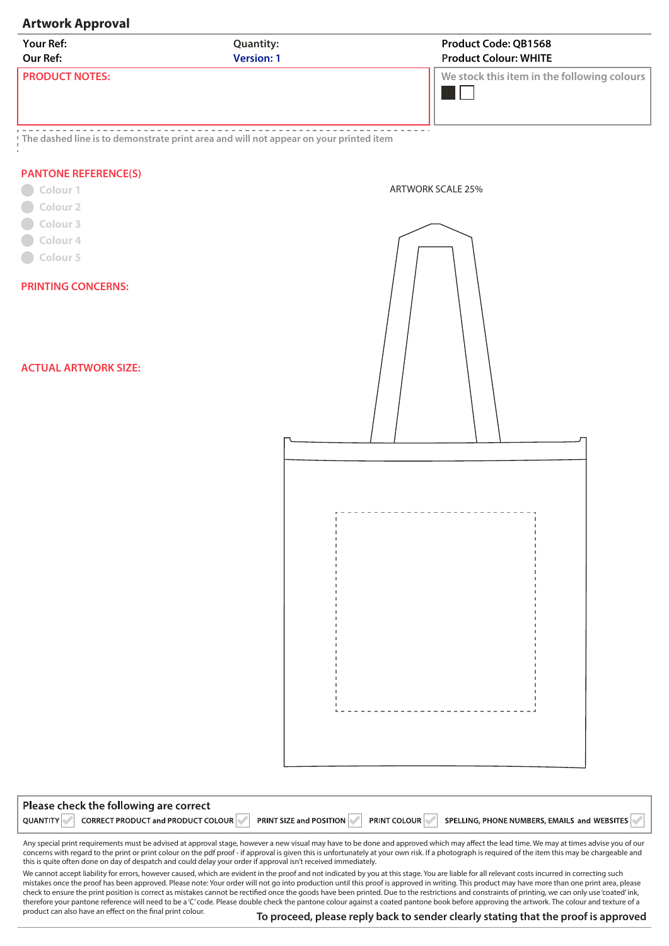## **Artwork Approval**

| Your Ref:                   | <b>Quantity:</b>                                                                        | <b>Product Code: QB1568</b>                 |  |  |
|-----------------------------|-----------------------------------------------------------------------------------------|---------------------------------------------|--|--|
| Our Ref:                    | <b>Version: 1</b>                                                                       | <b>Product Colour: WHITE</b>                |  |  |
| <b>PRODUCT NOTES:</b>       |                                                                                         | We stock this item in the following colours |  |  |
| <b>PANTONE REFERENCE(S)</b> | ! The dashed line is to demonstrate print area and will not appear on your printed item |                                             |  |  |
| Colour 1                    |                                                                                         | <b>ARTWORK SCALE 25%</b>                    |  |  |
| Colour 2                    |                                                                                         |                                             |  |  |
| Colour 3                    |                                                                                         |                                             |  |  |
| Colour 4                    |                                                                                         |                                             |  |  |

**PRINTING CONCERNS:** 

**Colour 5** 

**ACTUAL ARTWORK SIZE:** 



| Please check the following are correct                |                                |                     |                                              |
|-------------------------------------------------------|--------------------------------|---------------------|----------------------------------------------|
| CORRECT PRODUCT and PRODUCT COLOUR<br><b>QUANTITY</b> | <b>PRINT SIZE and POSITION</b> | <b>PRINT COLOUR</b> | SPELLING, PHONE NUMBERS, EMAILS and WEBSITES |

Any special print requirements must be advised at approval stage, however a new visual may have to be done and approved which may affect the lead time. We may at times advise you of our concerns with regard to the print or print colour on the pdf proof - if approval is given this is unfortunately at your own risk. If a photograph is required of the item this may be chargeable and this is quite often done on day of despatch and could delay your order if approval isn't received immediately.

We cannot accept liability for errors, however caused, which are evident in the proof and not indicated by you at this stage. You are liable for all relevant costs incurred in correcting such mistakes once the proof has been approved. Please note: Your order will not go into production until this proof is approved in writing. This product may have more than one print area, please check to ensure the print position is correct as mistakes cannot be rectified once the goods have been printed. Due to the restrictions and constraints of printing, we can only use 'coated' ink, therefore your pantone reference will need to be a 'C' code. Please double check the pantone colour against a coated pantone book before approving the artwork. The colour and texture of a product can also have an effect on the final print colour.